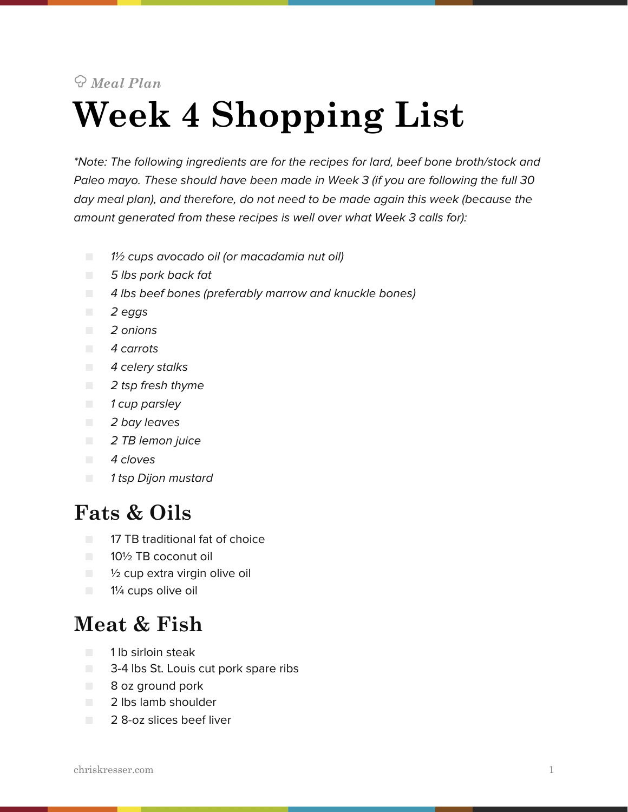# *Meal Plan*  **Week 4 Shopping List**

*\*Note: The following ingredients are for the recipes for lard, beef bone broth/stock and Paleo mayo. These should have been made in Week 3 (if you are following the full 30 day meal plan), and therefore, do not need to be made again this week (because the amount generated from these recipes is well over what Week 3 calls for):*

- *1*½ *cups avocado oil (or macadamia nut oil)*
- *5 lbs pork back fat*
- *4 lbs beef bones (preferably marrow and knuckle bones)*
- *2 eggs*
- *2 onions*
- *4 carrots*
- *4 celery stalks*
- *2 tsp fresh thyme*
- *1 cup parsley*
- *2 bay leaves*
- *2 TB lemon juice*
- *4 cloves*
- *1 tsp Dijon mustard*

#### **Fats & Oils**

- 17 TB traditional fat of choice
- 10½ TB coconut oil
- $\Box$  1/2 cup extra virgin olive oil
- 1¼ cups olive oil

#### **Meat & Fish**

- 1 lb sirloin steak
- 3-4 lbs St. Louis cut pork spare ribs
- 8 oz ground pork
- 2 lbs lamb shoulder
- 2 8-oz slices beef liver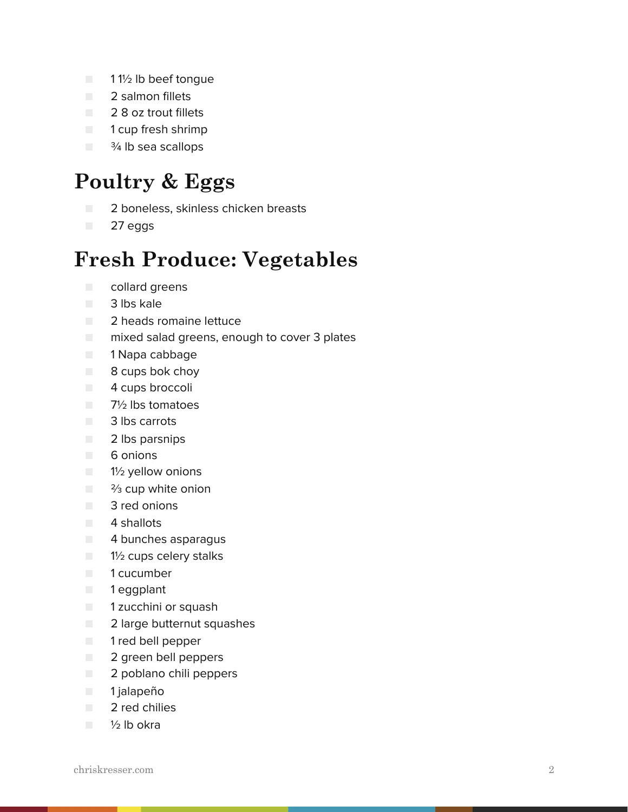- 11<sup>1</sup>/<sub>2</sub> lb beef tongue
- **2** salmon fillets
- 2 8 oz trout fillets
- 1 cup fresh shrimp
- <sup>3⁄4</sup> lb sea scallops

## **Poultry & Eggs**

- **2** boneless, skinless chicken breasts
- 27 eggs

### **Fresh Produce: Vegetables**

- collard greens
- 3 lbs kale
- 2 heads romaine lettuce
- mixed salad greens, enough to cover 3 plates
- 1 Napa cabbage
- 8 cups bok choy
- **4** cups broccoli
- 7½ lbs tomatoes
- 3 lbs carrots
- 2 lbs parsnips
- 6 onions
- 1½ yellow onions
- <sup>3</sup>/<sub>3</sub> cup white onion
- 3 red onions
- 4 shallots
- 4 bunches asparagus
- 1½ cups celery stalks
- 1 cucumber
- 1 eggplant
- 1 zucchini or squash
- 2 large butternut squashes
- 1 red bell pepper
- 2 green bell peppers
- 2 poblano chili peppers
- 1 jalapeño
- 2 red chilies
- ½ lb okra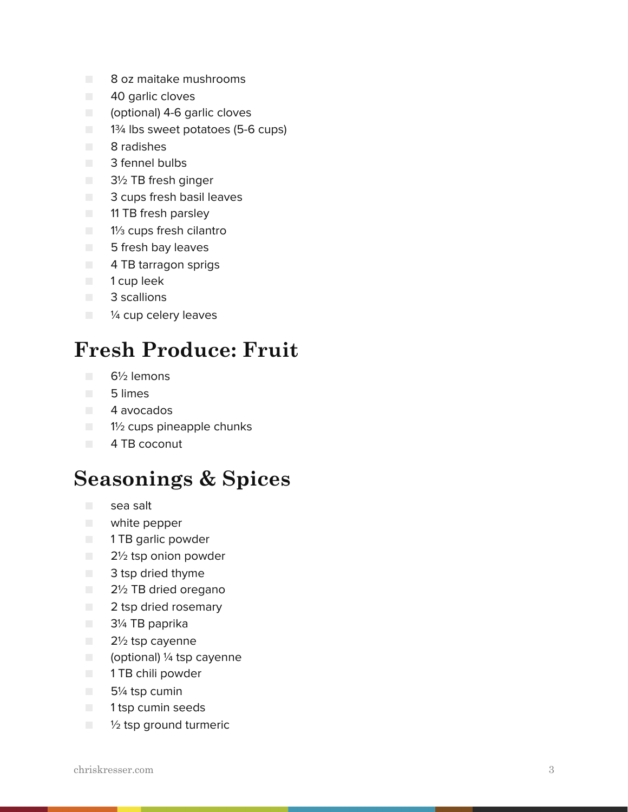- 8 oz maitake mushrooms
- 40 garlic cloves
- (optional) 4-6 garlic cloves
- 1<sup>3⁄4</sup> lbs sweet potatoes (5-6 cups)
- 8 radishes
- 3 fennel bulbs
- 3½ TB fresh ginger
- 3 cups fresh basil leaves
- 11 TB fresh parsley
- 11⁄3 cups fresh cilantro
- 5 fresh bay leaves
- 4 TB tarragon sprigs
- 1 cup leek
- 3 scallions
- ¼ cup celery leaves

## **Fresh Produce: Fruit**

- 6½ lemons
- 5 limes
- 4 avocados
- 1½ cups pineapple chunks
- 4 TB coconut

#### **Seasonings & Spices**

- sea salt
- white pepper
- 1 TB garlic powder
- 2½ tsp onion powder
- 3 tsp dried thyme
- 2½ TB dried oregano
- 2 tsp dried rosemary
- 3¼ TB paprika
- 2½ tsp cayenne
- (optional) ¼ tsp cayenne
- 1 TB chili powder
- 5¼ tsp cumin
- **1** 1 tsp cumin seeds
- $\blacksquare$   $\frac{1}{2}$  tsp ground turmeric